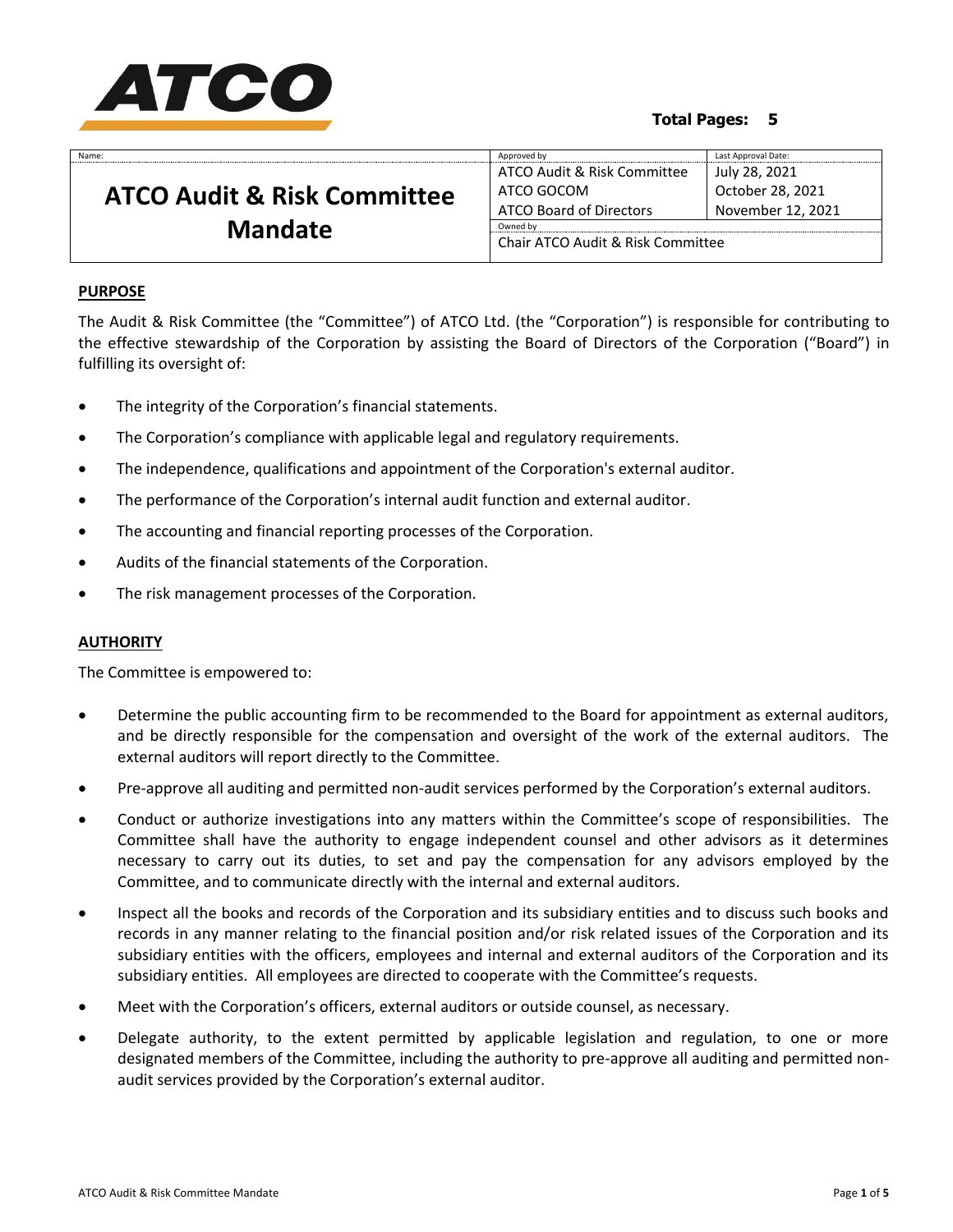

# **Total Pages: 5**

| Name:                                                    | Approved by                       | Last Approval Date: |
|----------------------------------------------------------|-----------------------------------|---------------------|
| <b>ATCO Audit &amp; Risk Committee</b><br><b>Mandate</b> | ATCO Audit & Risk Committee       | July 28, 2021       |
|                                                          | ATCO GOCOM                        | October 28, 2021    |
|                                                          | <b>ATCO Board of Directors</b>    | November 12, 2021   |
|                                                          | Owned by                          |                     |
|                                                          | Chair ATCO Audit & Risk Committee |                     |

## **PURPOSE**

The Audit & Risk Committee (the "Committee") of ATCO Ltd. (the "Corporation") is responsible for contributing to the effective stewardship of the Corporation by assisting the Board of Directors of the Corporation ("Board") in fulfilling its oversight of:

- The integrity of the Corporation's financial statements.
- The Corporation's compliance with applicable legal and regulatory requirements.
- The independence, qualifications and appointment of the Corporation's external auditor.
- The performance of the Corporation's internal audit function and external auditor.
- The accounting and financial reporting processes of the Corporation.
- Audits of the financial statements of the Corporation.
- The risk management processes of the Corporation.

# **AUTHORITY**

The Committee is empowered to:

- Determine the public accounting firm to be recommended to the Board for appointment as external auditors, and be directly responsible for the compensation and oversight of the work of the external auditors. The external auditors will report directly to the Committee.
- Pre-approve all auditing and permitted non-audit services performed by the Corporation's external auditors.
- Conduct or authorize investigations into any matters within the Committee's scope of responsibilities. The Committee shall have the authority to engage independent counsel and other advisors as it determines necessary to carry out its duties, to set and pay the compensation for any advisors employed by the Committee, and to communicate directly with the internal and external auditors.
- Inspect all the books and records of the Corporation and its subsidiary entities and to discuss such books and records in any manner relating to the financial position and/or risk related issues of the Corporation and its subsidiary entities with the officers, employees and internal and external auditors of the Corporation and its subsidiary entities. All employees are directed to cooperate with the Committee's requests.
- Meet with the Corporation's officers, external auditors or outside counsel, as necessary.
- Delegate authority, to the extent permitted by applicable legislation and regulation, to one or more designated members of the Committee, including the authority to pre-approve all auditing and permitted nonaudit services provided by the Corporation's external auditor.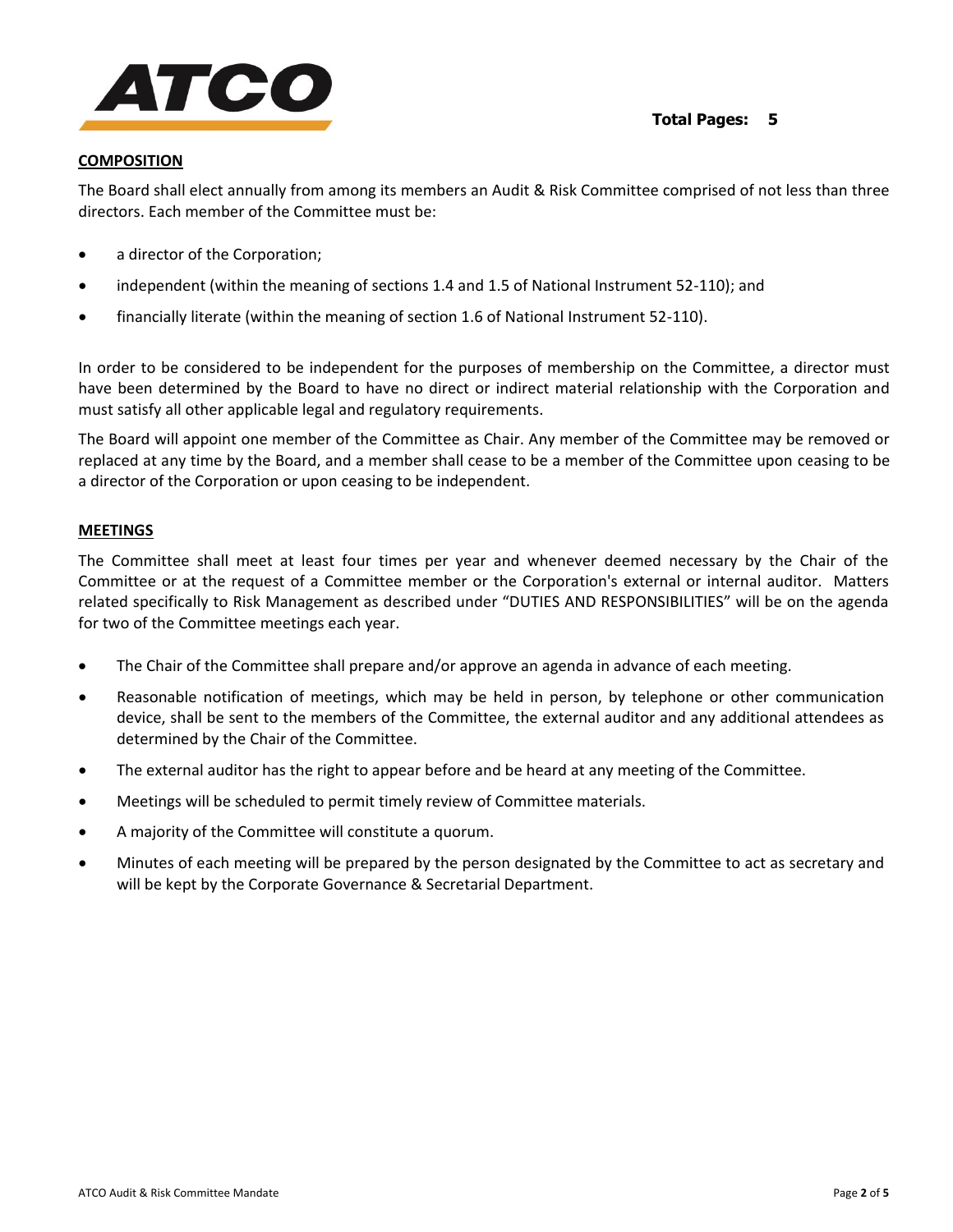

## **COMPOSITION**

The Board shall elect annually from among its members an Audit & Risk Committee comprised of not less than three directors. Each member of the Committee must be:

- a director of the Corporation;
- independent (within the meaning of sections 1.4 and 1.5 of National Instrument 52-110); and
- financially literate (within the meaning of section 1.6 of National Instrument 52-110).

In order to be considered to be independent for the purposes of membership on the Committee, a director must have been determined by the Board to have no direct or indirect material relationship with the Corporation and must satisfy all other applicable legal and regulatory requirements.

The Board will appoint one member of the Committee as Chair. Any member of the Committee may be removed or replaced at any time by the Board, and a member shall cease to be a member of the Committee upon ceasing to be a director of the Corporation or upon ceasing to be independent.

## **MEETINGS**

The Committee shall meet at least four times per year and whenever deemed necessary by the Chair of the Committee or at the request of a Committee member or the Corporation's external or internal auditor. Matters related specifically to Risk Management as described under "DUTIES AND RESPONSIBILITIES" will be on the agenda for two of the Committee meetings each year.

- The Chair of the Committee shall prepare and/or approve an agenda in advance of each meeting.
- Reasonable notification of meetings, which may be held in person, by telephone or other communication device, shall be sent to the members of the Committee, the external auditor and any additional attendees as determined by the Chair of the Committee.
- The external auditor has the right to appear before and be heard at any meeting of the Committee.
- Meetings will be scheduled to permit timely review of Committee materials.
- A majority of the Committee will constitute a quorum.
- Minutes of each meeting will be prepared by the person designated by the Committee to act as secretary and will be kept by the Corporate Governance & Secretarial Department.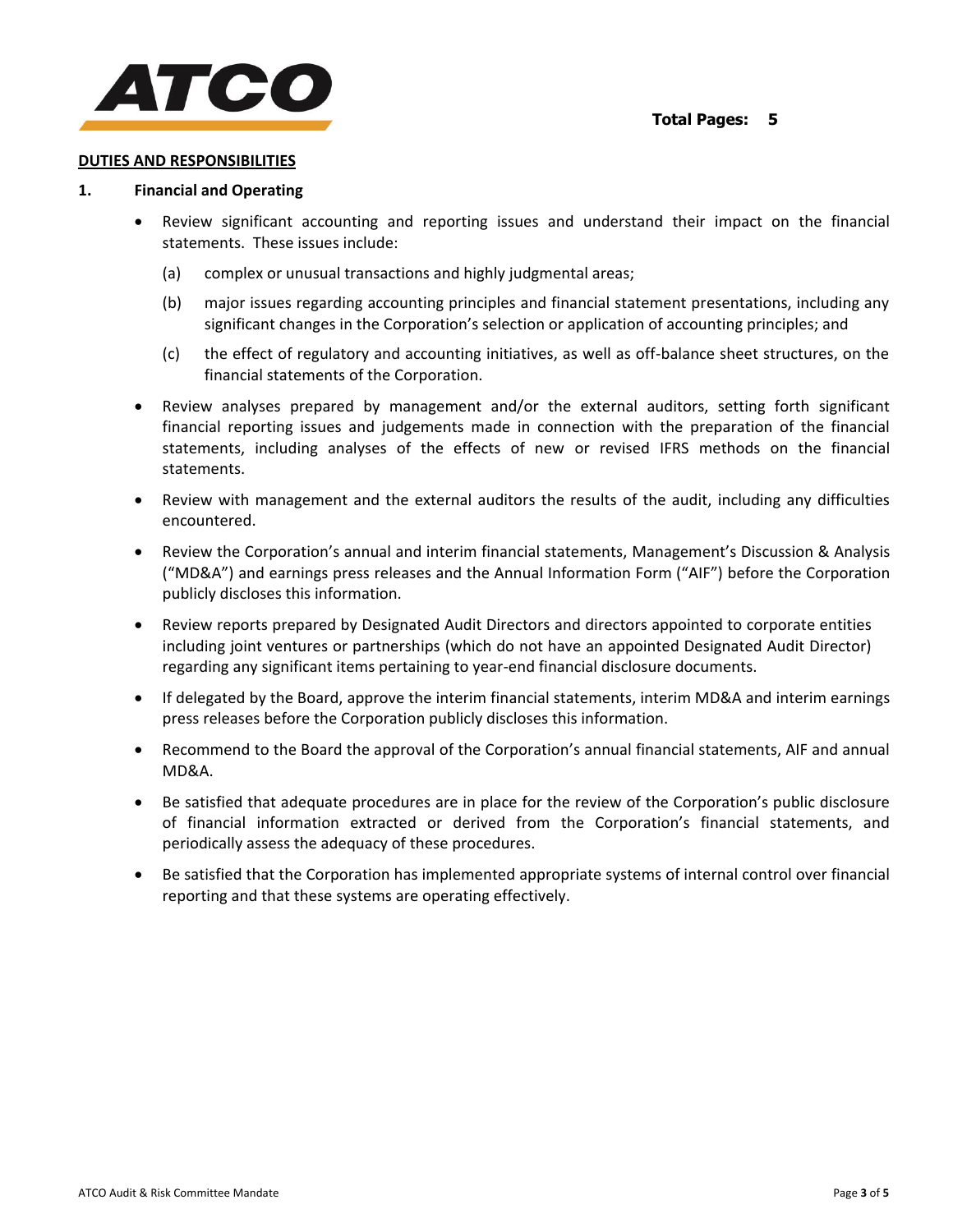

#### **DUTIES AND RESPONSIBILITIES**

#### **1. Financial and Operating**

- Review significant accounting and reporting issues and understand their impact on the financial statements. These issues include:
	- (a) complex or unusual transactions and highly judgmental areas;
	- (b) major issues regarding accounting principles and financial statement presentations, including any significant changes in the Corporation's selection or application of accounting principles; and
	- (c) the effect of regulatory and accounting initiatives, as well as off-balance sheet structures, on the financial statements of the Corporation.
- Review analyses prepared by management and/or the external auditors, setting forth significant financial reporting issues and judgements made in connection with the preparation of the financial statements, including analyses of the effects of new or revised IFRS methods on the financial statements.
- Review with management and the external auditors the results of the audit, including any difficulties encountered.
- Review the Corporation's annual and interim financial statements, Management's Discussion & Analysis ("MD&A") and earnings press releases and the Annual Information Form ("AIF") before the Corporation publicly discloses this information.
- Review reports prepared by Designated Audit Directors and directors appointed to corporate entities including joint ventures or partnerships (which do not have an appointed Designated Audit Director) regarding any significant items pertaining to year-end financial disclosure documents.
- If delegated by the Board, approve the interim financial statements, interim MD&A and interim earnings press releases before the Corporation publicly discloses this information.
- Recommend to the Board the approval of the Corporation's annual financial statements, AIF and annual MD&A.
- Be satisfied that adequate procedures are in place for the review of the Corporation's public disclosure of financial information extracted or derived from the Corporation's financial statements, and periodically assess the adequacy of these procedures.
- Be satisfied that the Corporation has implemented appropriate systems of internal control over financial reporting and that these systems are operating effectively.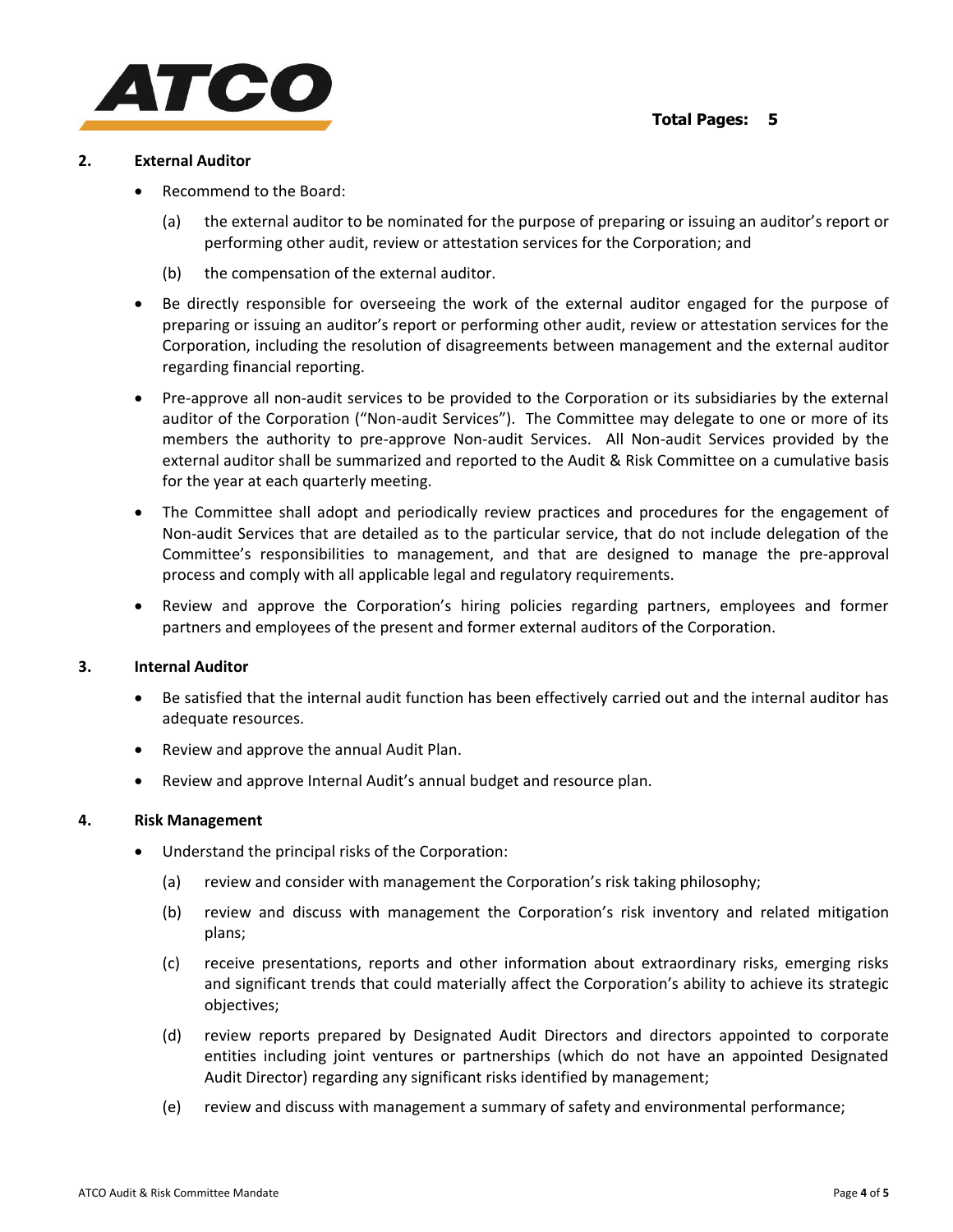

### **2. External Auditor**

- Recommend to the Board:
	- (a) the external auditor to be nominated for the purpose of preparing or issuing an auditor's report or performing other audit, review or attestation services for the Corporation; and
	- (b) the compensation of the external auditor.
- Be directly responsible for overseeing the work of the external auditor engaged for the purpose of preparing or issuing an auditor's report or performing other audit, review or attestation services for the Corporation, including the resolution of disagreements between management and the external auditor regarding financial reporting.
- Pre-approve all non-audit services to be provided to the Corporation or its subsidiaries by the external auditor of the Corporation ("Non-audit Services"). The Committee may delegate to one or more of its members the authority to pre-approve Non-audit Services. All Non-audit Services provided by the external auditor shall be summarized and reported to the Audit & Risk Committee on a cumulative basis for the year at each quarterly meeting.
- The Committee shall adopt and periodically review practices and procedures for the engagement of Non-audit Services that are detailed as to the particular service, that do not include delegation of the Committee's responsibilities to management, and that are designed to manage the pre-approval process and comply with all applicable legal and regulatory requirements.
- Review and approve the Corporation's hiring policies regarding partners, employees and former partners and employees of the present and former external auditors of the Corporation.

## **3. Internal Auditor**

- Be satisfied that the internal audit function has been effectively carried out and the internal auditor has adequate resources.
- Review and approve the annual Audit Plan.
- Review and approve Internal Audit's annual budget and resource plan.

### **4. Risk Management**

- Understand the principal risks of the Corporation:
	- (a) review and consider with management the Corporation's risk taking philosophy;
	- (b) review and discuss with management the Corporation's risk inventory and related mitigation plans;
	- (c) receive presentations, reports and other information about extraordinary risks, emerging risks and significant trends that could materially affect the Corporation's ability to achieve its strategic objectives;
	- (d) review reports prepared by Designated Audit Directors and directors appointed to corporate entities including joint ventures or partnerships (which do not have an appointed Designated Audit Director) regarding any significant risks identified by management;
	- (e) review and discuss with management a summary of safety and environmental performance;